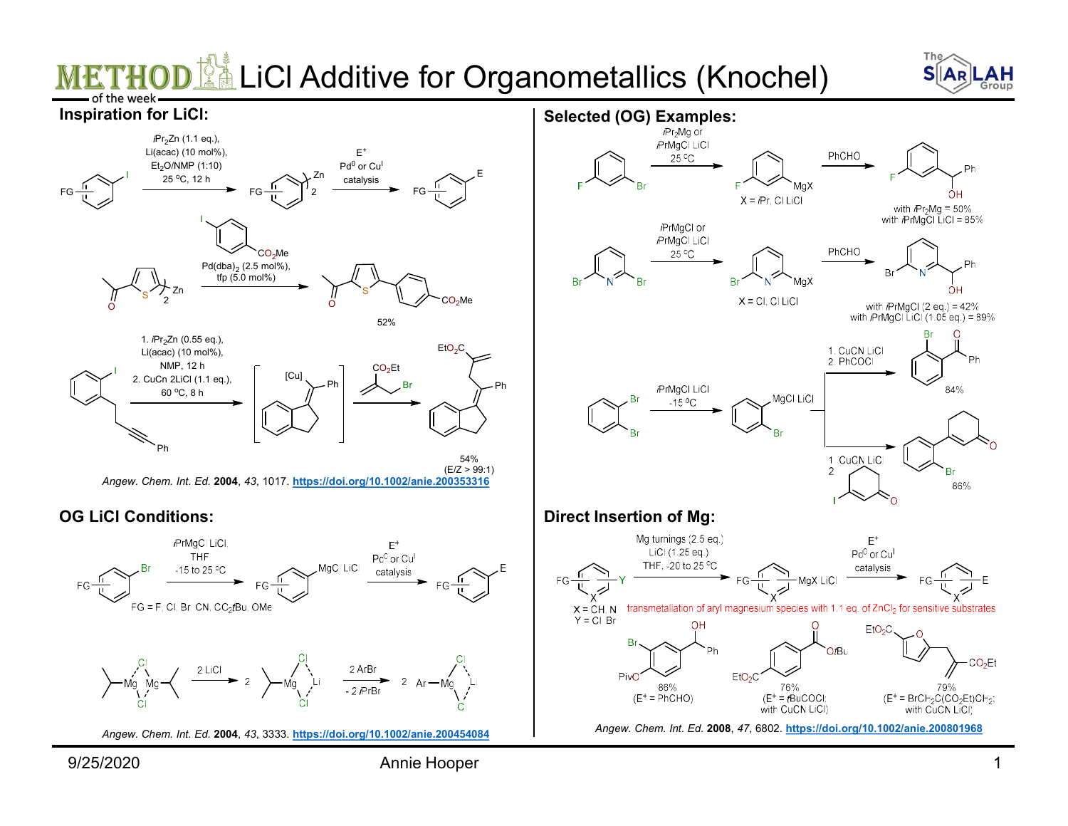## LiCl Additive for Organometallics (Knochel)